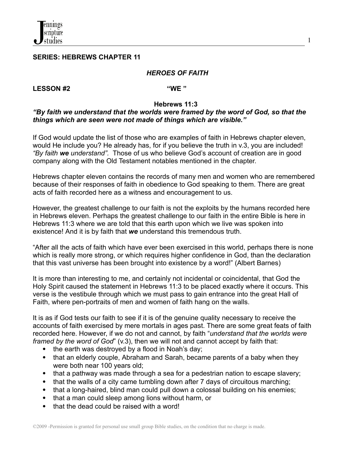### **SERIES: HEBREWS CHAPTER 11**

### *HEROES OF FAITH*

1

### **LESSON #2 "WE "**

### **Hebrews 11:3**

### *"By faith we understand that the worlds were framed by the word of God, so that the things which are seen were not made of things which are visible."*

If God would update the list of those who are examples of faith in Hebrews chapter eleven, would He include you? He already has, for if you believe the truth in v.3, you are included! *"By faith we understand".* Those of us who believe God's account of creation are in good company along with the Old Testament notables mentioned in the chapter.

Hebrews chapter eleven contains the records of many men and women who are remembered because of their responses of faith in obedience to God speaking to them. There are great acts of faith recorded here as a witness and encouragement to us.

However, the greatest challenge to our faith is not the exploits by the humans recorded here in Hebrews eleven. Perhaps the greatest challenge to our faith in the entire Bible is here in Hebrews 11:3 where we are told that this earth upon which we live was spoken into existence! And it is by faith that *we* understand this tremendous truth.

"After all the acts of faith which have ever been exercised in this world, perhaps there is none which is really more strong, or which requires higher confidence in God, than the declaration that this vast universe has been brought into existence by a word!" (Albert Barnes)

It is more than interesting to me, and certainly not incidental or coincidental, that God the Holy Spirit caused the statement in Hebrews 11:3 to be placed exactly where it occurs. This verse is the vestibule through which we must pass to gain entrance into the great Hall of Faith, where pen-portraits of men and women of faith hang on the walls.

It is as if God tests our faith to see if it is of the genuine quality necessary to receive the accounts of faith exercised by mere mortals in ages past. There are some great feats of faith recorded here. However, if we do not and cannot, by faith "*understand that the worlds were framed by the word of God*" (v.3), then we will not and cannot accept by faith that:

- the earth was destroyed by a flood in Noah's day;
- that an elderly couple, Abraham and Sarah, became parents of a baby when they were both near 100 years old;
- that a pathway was made through a sea for a pedestrian nation to escape slavery;
- that the walls of a city came tumbling down after 7 days of circuitous marching;
- that a long-haired, blind man could pull down a colossal building on his enemies;
- that a man could sleep among lions without harm, or
- that the dead could be raised with a word!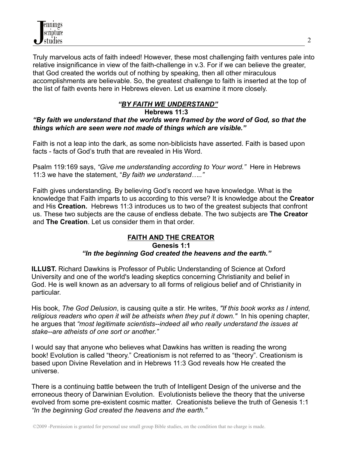Truly marvelous acts of faith indeed! However, these most challenging faith ventures pale into relative insignificance in view of the faith-challenge in v.3. For if we can believe the greater, that God created the worlds out of nothing by speaking, then all other miraculous accomplishments are believable. So, the greatest challenge to faith is inserted at the top of the list of faith events here in Hebrews eleven. Let us examine it more closely.

# *"BY FAITH WE UNDERSTAND"*

### **Hebrews 11:3** *"By faith we understand that the worlds were framed by the word of God, so that the things which are seen were not made of things which are visible."*

Faith is not a leap into the dark, as some non-biblicists have asserted. Faith is based upon facts - facts of God's truth that are revealed in His Word.

Psalm 119:169 says, *"Give me understanding according to Your word."* Here in Hebrews 11:3 we have the statement, "*By faith we understand….."*

Faith gives understanding. By believing God's record we have knowledge. What is the knowledge that Faith imparts to us according to this verse? It is knowledge about the **Creator** and His **Creation.** Hebrews 11:3 introduces us to two of the greatest subjects that confront us. These two subjects are the cause of endless debate. The two subjects are **The Creator** and **The Creation**. Let us consider them in that order.

# **FAITH AND THE CREATOR**

### **Genesis 1:1**

# *"In the beginning God created the heavens and the earth."*

**ILLUST.** Richard Dawkins is Professor of Public Understanding of Science at Oxford University and one of the world's leading skeptics concerning Christianity and belief in God. He is well known as an adversary to all forms of religious belief and of Christianity in particular.

His book, *The God Delusion*, is causing quite a stir. He writes, *"If this book works as I intend, religious readers who open it will be atheists when they put it down."* In his opening chapter, he argues that *"most legitimate scientists--indeed all who really understand the issues at stake--are atheists of one sort or another."*

I would say that anyone who believes what Dawkins has written is reading the wrong book! Evolution is called "theory." Creationism is not referred to as "theory". Creationism is based upon Divine Revelation and in Hebrews 11:3 God reveals how He created the universe.

There is a continuing battle between the truth of Intelligent Design of the universe and the erroneous theory of Darwinian Evolution. Evolutionists believe the theory that the universe evolved from some pre-existent cosmic matter. Creationists believe the truth of Genesis 1:1 *"In the beginning God created the heavens and the earth."*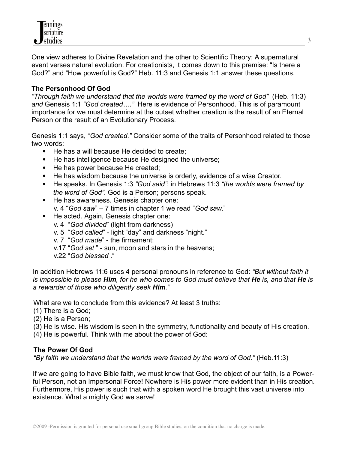

One view adheres to Divine Revelation and the other to Scientific Theory; A supernatural event verses natural evolution. For creationists, it comes down to this premise: "Is there a God?" and "How powerful is God?" Heb. 11:3 and Genesis 1:1 answer these questions.

## **The Personhood Of God**

*"Through faith we understand that the worlds were framed by the word of God"* (Heb. 11:3) *and* Genesis 1:1 *"God created…."* Here is evidence of Personhood. This is of paramount importance for we must determine at the outset whether creation is the result of an Eternal Person or the result of an Evolutionary Process.

Genesis 1:1 says, "*God created."* Consider some of the traits of Personhood related to those two words:

- He has a will because He decided to create:
- He has intelligence because He designed the universe;
- He has power because He created;
- He has wisdom because the universe is orderly, evidence of a wise Creator.
- He speaks. In Genesis 1:3 *"God said"*; in Hebrews 11:3 *"the worlds were framed by the word of God".* God is a Person; persons speak.
- He has awareness. Genesis chapter one: v. 4 "*God saw*" – 7 times in chapter 1 we read "*God saw*."
- He acted. Again, Genesis chapter one:
	- v. 4 "*God divided*" (light from darkness)
	- v. 5 "*God called*" light "day" and darkness "night."
	- v. 7 "*God made*" the firmament;
	- v.17 "*God set* " sun, moon and stars in the heavens;
	- v.22 "*God blessed* ."

In addition Hebrews 11:6 uses 4 personal pronouns in reference to God: *"But without faith it* is impossible to please Him, for he who comes to God must believe that He is, and that He is *a rewarder of those who diligently seek Him."*

What are we to conclude from this evidence? At least 3 truths:

- (1) There is a God;
- (2) He is a Person;
- (3) He is wise. His wisdom is seen in the symmetry, functionality and beauty of His creation.
- (4) He is powerful. Think with me about the power of God:

### **The Power Of God**

*"By faith we understand that the worlds were framed by the word of God."* (Heb.11:3)

If we are going to have Bible faith, we must know that God, the object of our faith, is a Powerful Person, not an Impersonal Force! Nowhere is His power more evident than in His creation. Furthermore, His power is such that with a spoken word He brought this vast universe into existence. What a mighty God we serve!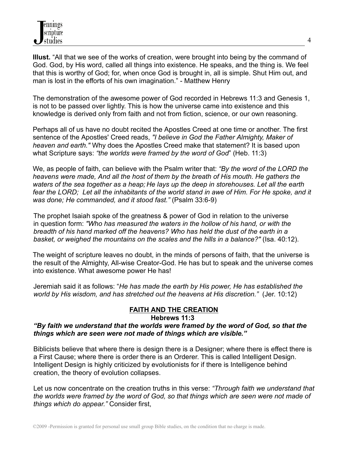**Illust.** "All that we see of the works of creation, were brought into being by the command of God. God, by His word, called all things into existence. He speaks, and the thing is. We feel that this is worthy of God; for, when once God is brought in, all is simple. Shut Him out, and man is lost in the efforts of his own imagination." - Matthew Henry

The demonstration of the awesome power of God recorded in Hebrews 11:3 and Genesis 1, is not to be passed over lightly. This is how the universe came into existence and this knowledge is derived only from faith and not from fiction, science, or our own reasoning.

Perhaps all of us have no doubt recited the Apostles Creed at one time or another. The first sentence of the Apostles' Creed reads, *"I believe in God the Father Almighty, Maker of heaven and earth."* Why does the Apostles Creed make that statement? It is based upon what Scripture says: *"the worlds were framed by the word of God*" (Heb. 11:3)

We, as people of faith, can believe with the Psalm writer that: *"By the word of the LORD the heavens were made, And all the host of them by the breath of His mouth. He gathers the waters of the sea together as a heap; He lays up the deep in storehouses. Let all the earth* fear the LORD; Let all the inhabitants of the world stand in awe of Him. For He spoke, and it *was done; He commanded, and it stood fast."* (Psalm 33:6-9)

The prophet Isaiah spoke of the greatness & power of God in relation to the universe in question form: *"Who has measured the waters in the hollow of his hand, or with the breadth of his hand marked off the heavens? Who has held the dust of the earth in a basket, or weighed the mountains on the scales and the hills in a balance?"* (Isa. 40:12).

The weight of scripture leaves no doubt, in the minds of persons of faith, that the universe is the result of the Almighty, All-wise Creator-God. He has but to speak and the universe comes into existence. What awesome power He has!

Jeremiah said it as follows: "*He has made the earth by His power, He has established the world by His wisdom, and has stretched out the heavens at His discretion."* (Jer. 10:12)

## **FAITH AND THE CREATION**

### **Hebrews 11:3**

## *"By faith we understand that the worlds were framed by the word of God, so that the things which are seen were not made of things which are visible."*

Biblicists believe that where there is design there is a Designer; where there is effect there is a First Cause; where there is order there is an Orderer. This is called Intelligent Design. Intelligent Design is highly criticized by evolutionists for if there is Intelligence behind creation, the theory of evolution collapses.

Let us now concentrate on the creation truths in this verse: *"Through faith we understand that the worlds were framed by the word of God, so that things which are seen were not made of things which do appear."* Consider first,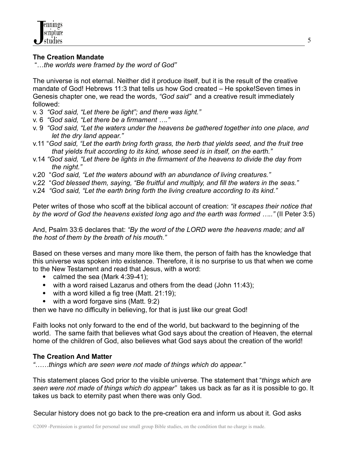## **The Creation Mandate**

"…*the worlds were framed by the word of God"*

The universe is not eternal. Neither did it produce itself, but it is the result of the creative mandate of God! Hebrews 11:3 that tells us how God created – He spoke!Seven times in Genesis chapter one, we read the words, *"God said"* and a creative result immediately followed:

- v. 3 *"God said, "Let there be light"; and there was light."*
- v. 6 *"God said, "Let there be a firmament …."*
- v. 9 *"God said, "Let the waters under the heavens be gathered together into one place, and let the dry land appear."*
- v.11 "*God said, "Let the earth bring forth grass, the herb that yields seed, and the fruit tree that yields fruit according to its kind, whose seed is in itself, on the earth."*
- v.14 *"God said, "Let there be lights in the firmament of the heavens to divide the day from the night."*
- v.20 "*God said, "Let the waters abound with an abundance of living creatures."*
- v.22 "*God blessed them, saying, "Be fruitful and multiply, and fill the waters in the seas."*
- v.24 *"God said, "Let the earth bring forth the living creature according to its kind."*

Peter writes of those who scoff at the biblical account of creation: *"it escapes their notice that by the word of God the heavens existed long ago and the earth was formed ….."* (II Peter 3:5)

And, Psalm 33:6 declares that: *"By the word of the LORD were the heavens made; and all the host of them by the breath of his mouth."*

Based on these verses and many more like them, the person of faith has the knowledge that this universe was spoken into existence. Therefore, it is no surprise to us that when we come to the New Testament and read that Jesus, with a word:

- calmed the sea (Mark  $4:39-41$ );
- with a word raised Lazarus and others from the dead (John 11:43);
- with a word killed a fig tree (Matt. 21:19);
- $\bullet$  with a word forgave sins (Matt. 9:2)

then we have no difficulty in believing, for that is just like our great God!

Faith looks not only forward to the end of the world, but backward to the beginning of the world. The same faith that believes what God says about the creation of Heaven, the eternal home of the children of God, also believes what God says about the creation of the world!

### **The Creation And Matter**

*"……things which are seen were not made of things which do appear."*

This statement places God prior to the visible universe. The statement that "*things which are seen were not made of things which do appear"* takes us back as far as it is possible to go. It takes us back to eternity past when there was only God.

Secular history does not go back to the pre-creation era and inform us about it. God asks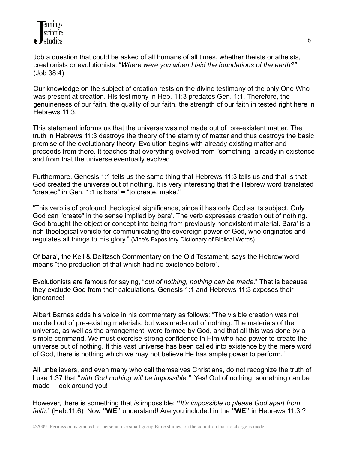Job a question that could be asked of all humans of all times, whether theists or atheists, creationists or evolutionists: "*Where were you when I laid the foundations of the earth?"* (Job 38:4)

Our knowledge on the subject of creation rests on the divine testimony of the only One Who was present at creation. His testimony in Heb. 11:3 predates Gen. 1:1. Therefore, the genuineness of our faith, the quality of our faith, the strength of our faith in tested right here in Hebrews 11:3.

This statement informs us that the universe was not made out of pre-existent matter. The truth in Hebrews 11:3 destroys the theory of the eternity of matter and thus destroys the basic premise of the evolutionary theory. Evolution begins with already existing matter and proceeds from there. It teaches that everything evolved from "something" already in existence and from that the universe eventually evolved.

Furthermore, Genesis 1:1 tells us the same thing that Hebrews 11:3 tells us and that is that God created the universe out of nothing. It is very interesting that the Hebrew word translated "created" in Gen. 1:1 is bara' **=** "to create, make."

"This verb is of profound theological significance, since it has only God as its subject. Only God can "create" in the sense implied by bara'. The verb expresses creation out of nothing. God brought the object or concept into being from previously nonexistent material. Bara' is a rich theological vehicle for communicating the sovereign power of God, who originates and regulates all things to His glory." (Vine's Expository Dictionary of Biblical Words)

Of **bara**', the Keil & Delitzsch Commentary on the Old Testament, says the Hebrew word means "the production of that which had no existence before".

Evolutionists are famous for saying, "*out of nothing, nothing can be made*." That is because they exclude God from their calculations. Genesis 1:1 and Hebrews 11:3 exposes their ignorance!

Albert Barnes adds his voice in his commentary as follows: "The visible creation was not molded out of pre-existing materials, but was made out of nothing. The materials of the universe, as well as the arrangement, were formed by God, and that all this was done by a simple command. We must exercise strong confidence in Him who had power to create the universe out of nothing. If this vast universe has been called into existence by the mere word of God, there is nothing which we may not believe He has ample power to perform."

All unbelievers, and even many who call themselves Christians, do not recognize the truth of Luke 1:37 that "*with God nothing will be impossible."* Yes! Out of nothing, something can be made – look around you!

However, there is something that *is* impossible: **"***It's impossible to please God apart from faith*." (Heb.11:6) Now **"WE"** understand! Are you included in the **"WE"** in Hebrews 11:3 ?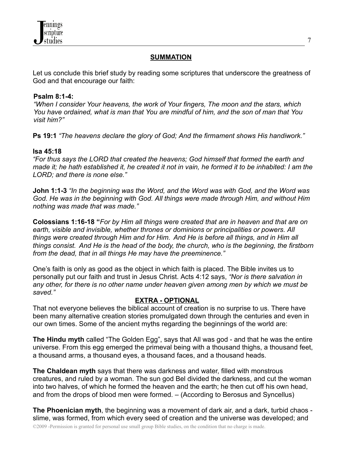## **SUMMATION**

Let us conclude this brief study by reading some scriptures that underscore the greatness of God and that encourage our faith:

### **Psalm 8:1-4:**

*"When I consider Your heavens, the work of Your fingers, The moon and the stars, which You have ordained, what is man that You are mindful of him, and the son of man that You visit him?"*

**Ps 19:1** *"The heavens declare the glory of God; And the firmament shows His handiwork."*

## **Isa 45:18**

*"For thus says the LORD that created the heavens; God himself that formed the earth and* made it; he hath established it, he created it not in vain, he formed it to be inhabited: I am the *LORD; and there is none else."*

**John 1:1-3** *"In the beginning was the Word, and the Word was with God, and the Word was God. He was in the beginning with God. All things were made through Him, and without Him nothing was made that was made."*

**Colossians 1:16-18 "***For by Him all things were created that are in heaven and that are on earth, visible and invisible, whether thrones or dominions or principalities or powers. All things were created through Him and for Him. And He is before all things, and in Him all things consist. And He is the head of the body, the church, who is the beginning, the firstborn from the dead, that in all things He may have the preeminence."*

One's faith is only as good as the object in which faith is placed. The Bible invites us to personally put our faith and trust in Jesus Christ. Acts 4:12 says, *"Nor is there salvation in any other, for there is no other name under heaven given among men by which we must be saved."*

## **EXTRA - OPTIONAL**

That not everyone believes the biblical account of creation is no surprise to us. There have been many alternative creation stories promulgated down through the centuries and even in our own times. Some of the ancient myths regarding the beginnings of the world are:

**The Hindu myth** called "The Golden Egg", says that All was god - and that he was the entire universe. From this egg emerged the primeval being with a thousand thighs, a thousand feet, a thousand arms, a thousand eyes, a thousand faces, and a thousand heads.

**The Chaldean myth** says that there was darkness and water, filled with monstrous creatures, and ruled by a woman. The sun god Bel divided the darkness, and cut the woman into two halves, of which he formed the heaven and the earth; he then cut off his own head, and from the drops of blood men were formed. – (According to Berosus and Syncellus)

**The Phoenician myth**, the beginning was a movement of dark air, and a dark, turbid chaos slime, was formed, from which every seed of creation and the universe was developed; and